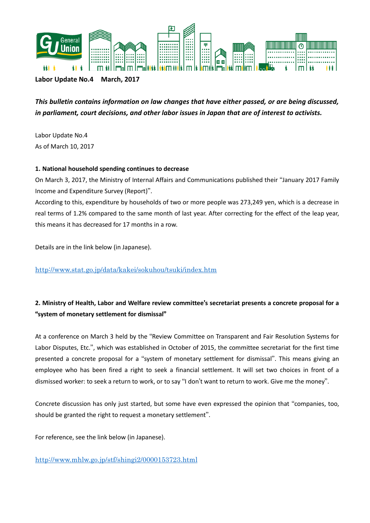

**Labor Update No.4 March, 2017**

*This bulletin contains information on law changes that have either passed, or are being discussed, in parliament, court decisions, and other labor issues in Japan that are of interest to activists.* 

Labor Update No.4 As of March 10, 2017

#### **1. National household spending continues to decrease**

On March 3, 2017, the Ministry of Internal Affairs and Communications published their "January 2017 Family Income and Expenditure Survey (Report)".

According to this, expenditure by households of two or more people was 273,249 yen, which is a decrease in real terms of 1.2% compared to the same month of last year. After correcting for the effect of the leap year, this means it has decreased for 17 months in a row.

Details are in the link below (in Japanese).

<http://www.stat.go.jp/data/kakei/sokuhou/tsuki/index.htm>

# **2. Ministry of Health, Labor and Welfare review committee**'**s secretariat presents a concrete proposal for a**  "**system of monetary settlement for dismissal**"

At a conference on March 3 held by the "Review Committee on Transparent and Fair Resolution Systems for Labor Disputes, Etc.", which was established in October of 2015, the committee secretariat for the first time presented a concrete proposal for a "system of monetary settlement for dismissal". This means giving an employee who has been fired a right to seek a financial settlement. It will set two choices in front of a dismissed worker: to seek a return to work, or to say "I don't want to return to work. Give me the money".

Concrete discussion has only just started, but some have even expressed the opinion that "companies, too, should be granted the right to request a monetary settlement".

For reference, see the link below (in Japanese).

<http://www.mhlw.go.jp/stf/shingi2/0000153723.html>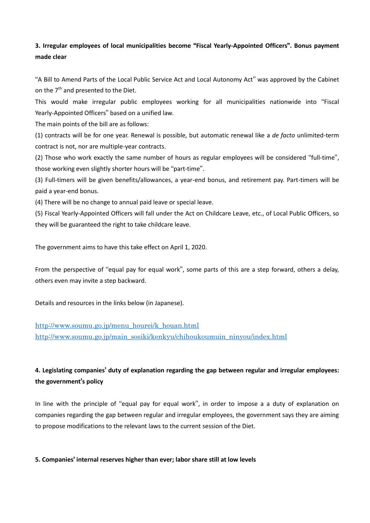# **3. Irregular employees of local municipalities become** "**Fiscal Yearly-Appointed Officers**"**. Bonus payment made clear**

"A Bill to Amend Parts of the Local Public Service Act and Local Autonomy Act" was approved by the Cabinet on the  $7<sup>th</sup>$  and presented to the Diet.

This would make irregular public employees working for all municipalities nationwide into "Fiscal Yearly-Appointed Officers" based on a unified law.

The main points of the bill are as follows:

(1) contracts will be for one year. Renewal is possible, but automatic renewal like a *de facto* unlimited-term contract is not, nor are multiple-year contracts.

(2) Those who work exactly the same number of hours as regular employees will be considered "full-time", those working even slightly shorter hours will be "part-time".

(3) Full-timers will be given benefits/allowances, a year-end bonus, and retirement pay. Part-timers will be paid a year-end bonus.

(4) There will be no change to annual paid leave or special leave.

(5) Fiscal Yearly-Appointed Officers will fall under the Act on Childcare Leave, etc., of Local Public Officers, so they will be guaranteed the right to take childcare leave.

The government aims to have this take effect on April 1, 2020.

From the perspective of "equal pay for equal work", some parts of this are a step forward, others a delay, others even may invite a step backward.

Details and resources in the links below (in Japanese).

## [http://www.soumu.go.jp/menu\\_hourei/k\\_houan.html](http://www.soumu.go.jp/menu_hourei/k_houan.html)

[http://www.soumu.go.jp/main\\_sosiki/kenkyu/chihoukoumuin\\_ninyou/index.html](http://www.soumu.go.jp/main_sosiki/kenkyu/chihoukoumuin_ninyou/index.html)

# **4. Legislating companies**' **duty of explanation regarding the gap between regular and irregular employees: the government**'**s policy**

In line with the principle of "equal pay for equal work", in order to impose a a duty of explanation on companies regarding the gap between regular and irregular employees, the government says they are aiming to propose modifications to the relevant laws to the current session of the Diet.

### **5. Companies**' **internal reserves higher than ever; labor share still at low levels**